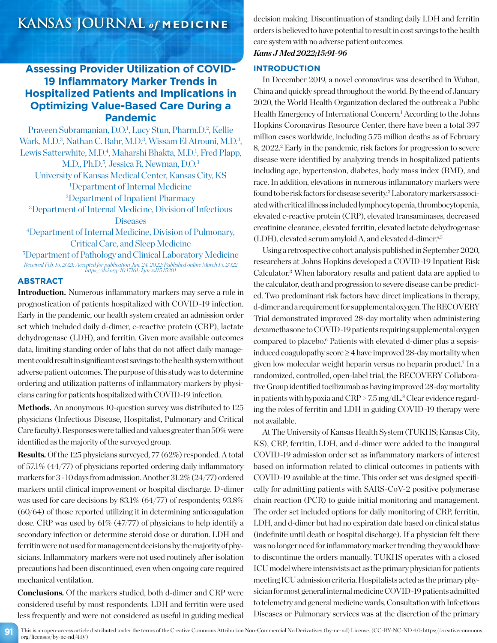# **Assessing Provider Utilization of COVID-19 Inflammatory Marker Trends in Hospitalized Patients and Implications in Optimizing Value-Based Care During a Pandemic**

Praveen Subramanian, D.O.<sup>1</sup>, Lucy Stun, Pharm.D.<sup>2</sup>, Kellie Wark, M.D.<sup>3</sup>, Nathan C. Bahr, M.D.<sup>3</sup>, Wissam El Atrouni, M.D.<sup>3</sup>, Lewis Satterwhite, M.D.<sup>4</sup>, Maharshi Bhakta, M.D.<sup>1</sup>, Fred Plapp, M.D., Ph.D.<sup>5</sup>, Jessica R. Newman, D.O.<sup>3</sup> University of Kansas Medical Center, Kansas City, KS 1 Department of Internal Medicine 2 Department of Inpatient Pharmacy 3 Department of Internal Medicine, Division of Infectious **Diseases** 4 Department of Internal Medicine, Division of Pulmonary,

Critical Care, and Sleep Medicine

5 Department of Pathology and Clinical Laboratory Medicine *Received Feb. 15, 2021; Accepted for publication Jan. 24, 2022; Published online March 15, 2022 https://doi.org/10.17161/kjm.vol15.15201*

# **ABSTRACT**

**Introduction.** Numerous inflammatory markers may serve a role in prognostication of patients hospitalized with COVID-19 infection. Early in the pandemic, our health system created an admission order set which included daily d-dimer, c-reactive protein (CRP), lactate dehydrogenase (LDH), and ferritin. Given more available outcomes data, limiting standing order of labs that do not affect daily management could result in significant cost savings to the health system without adverse patient outcomes. The purpose of this study was to determine ordering and utilization patterns of inflammatory markers by physicians caring for patients hospitalized with COVID-19 infection.

Methods. An anonymous 10-question survey was distributed to 125 physicians (Infectious Disease, Hospitalist, Pulmonary and Critical Care faculty). Responses were tallied and values greater than 50% were identified as the majority of the surveyed group.

**Results.** Of the 125 physicians surveyed, 77 (62%) responded. A total of 57.1% (44/77) of physicians reported ordering daily inflammatory markers for 3 - 10 days from admission. Another 31.2% (24/77) ordered markers until clinical improvement or hospital discharge. D-dimer was used for care decisions by 83.1% (64/77) of respondents; 93.8% (60/64) of those reported utilizing it in determining anticoagulation dose. CRP was used by 61% (47/77) of physicians to help identify a secondary infection or determine steroid dose or duration. LDH and ferritin were not used for management decisions by the majority of physicians. Inflammatory markers were not used routinely after isolation precautions had been discontinued, even when ongoing care required mechanical ventilation.

**Conclusions.** Of the markers studied, both d-dimer and CRP were considered useful by most respondents. LDH and ferritin were used less frequently and were not considered as useful in guiding medical

decision making. Discontinuation of standing daily LDH and ferritin orders is believed to have potential to result in cost savings to the health care system with no adverse patient outcomes.

# *Kans J Med 2022;15:91-96*

# **INTRODUCTION**

In December 2019, a novel coronavirus was described in Wuhan, China and quickly spread throughout the world. By the end of January 2020, the World Health Organization declared the outbreak a Public Health Emergency of International Concern.<sup>1</sup> According to the Johns Hopkins Coronavirus Resource Center, there have been a total 397 million cases worldwide, including 5.75 million deaths as of February 8, 2022.<sup>2</sup> Early in the pandemic, risk factors for progression to severe disease were identified by analyzing trends in hospitalized patients including age, hypertension, diabetes, body mass index (BMI), and race. In addition, elevations in numerous inflammatory markers were found to be risk factors for disease severity.<sup>3</sup> Laboratory markers associated with critical illness included lymphocytopenia, thrombocytopenia, elevated c-reactive protein (CRP), elevated transaminases, decreased creatinine clearance, elevated ferritin, elevated lactate dehydrogenase (LDH), elevated serum amyloid A, and elevated d-dimer.4,5

Using a retrospective cohort analysis published in September 2020, researchers at Johns Hopkins developed a COVID-19 Inpatient Risk Calculator.3 When laboratory results and patient data are applied to the calculator, death and progression to severe disease can be predicted. Two predominant risk factors have direct implications in therapy, d-dimer and a requirement for supplemental oxygen. The RECOVERY Trial demonstrated improved 28-day mortality when administering dexamethasone to COVID-19 patients requiring supplemental oxygen compared to placebo.<sup>6</sup> Patients with elevated d-dimer plus a sepsisinduced coagulopathy score ≥ 4 have improved 28-day mortality when given low molecular weight heparin versus no heparin product.7 In a randomized, controlled, open-label trial, the RECOVERY Collaborative Group identified tocilizumab as having improved 28-day mortality in patients with hypoxia and  $\rm CRP$  > 7.5 mg/dL. $^8$  Clear evidence regarding the roles of ferritin and LDH in guiding COVID-19 therapy were not available.

At The University of Kansas Health System (TUKHS; Kansas City, KS), CRP, ferritin, LDH, and d-dimer were added to the inaugural COVID-19 admission order set as inflammatory markers of interest based on information related to clinical outcomes in patients with COVID-19 available at the time. This order set was designed specifically for admitting patients with SARS-CoV-2 positive polymerase chain reaction (PCR) to guide initial monitoring and management. The order set included options for daily monitoring of CRP, ferritin, LDH, and d-dimer but had no expiration date based on clinical status (indefinite until death or hospital discharge). If a physician felt there was no longer need for inflammatory marker trending, they would have to discontinue the orders manually. TUKHS operates with a closed ICU model where intensivists act as the primary physician for patients meeting ICU admission criteria. Hospitalists acted as the primary physician for most general internal medicine COVID-19 patients admitted to telemetry and general medicine wards. Consultation with Infectious Diseases or Pulmonary services was at the discretion of the primary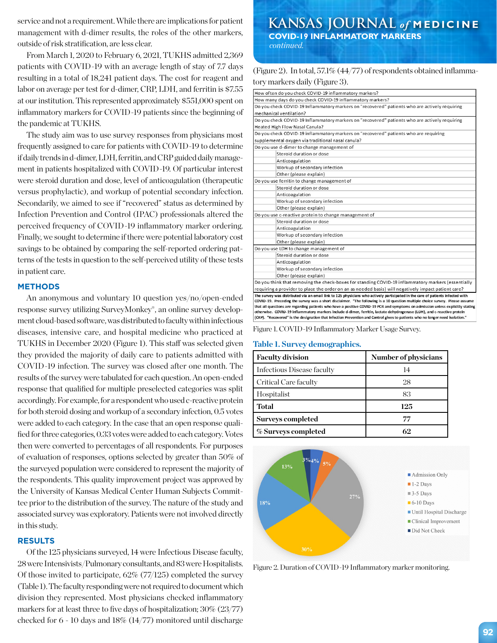service and not a requirement. While there are implications for patient management with d-dimer results, the roles of the other markers, outside of risk stratification, are less clear.

From March 1, 2020 to February 6, 2021, TUKHS admitted 2,369 patients with COVID-19 with an average length of stay of 7.7 days resulting in a total of 18,241 patient days. The cost for reagent and labor on average per test for d-dimer, CRP, LDH, and ferritin is \$7.55 at our institution. This represented approximately \$551,000 spent on inflammatory markers for COVID-19 patients since the beginning of the pandemic at TUKHS.

The study aim was to use survey responses from physicians most frequently assigned to care for patients with COVID-19 to determine if daily trends in d-dimer, LDH, ferritin, and CRP guided daily management in patients hospitalized with COVID-19. Of particular interest were steroid duration and dose, level of anticoagulation (therapeutic versus prophylactic), and workup of potential secondary infection. Secondarily, we aimed to see if "recovered" status as determined by Infection Prevention and Control (IPAC) professionals altered the perceived frequency of COVID-19 inflammatory marker ordering. Finally, we sought to determine if there were potential laboratory cost savings to be obtained by comparing the self-reported ordering patterns of the tests in question to the self-perceived utility of these tests in patient care.

#### **METHODS**

An anonymous and voluntary 10 question yes/no/open-ended response survey utilizing SurveyMonkey®, an online survey development cloud-based software, was distributed to faculty within infectious diseases, intensive care, and hospital medicine who practiced at TUKHS in December 2020 (Figure 1). This staff was selected given they provided the majority of daily care to patients admitted with COVID-19 infection. The survey was closed after one month. The results of the survey were tabulated for each question. An open-ended response that qualified for multiple preselected categories was split accordingly. For example, for a respondent who used c-reactive protein for both steroid dosing and workup of a secondary infection, 0.5 votes were added to each category. In the case that an open response qualified for three categories, 0.33 votes were added to each category. Votes then were converted to percentages of all respondents. For purposes of evaluation of responses, options selected by greater than 50% of the surveyed population were considered to represent the majority of the respondents. This quality improvement project was approved by the University of Kansas Medical Center Human Subjects Committee prior to the distribution of the survey. The nature of the study and associated survey was exploratory. Patients were not involved directly in this study.

## **RESULTS**

Of the 125 physicians surveyed, 14 were Infectious Disease faculty, 28 were Intensivists/Pulmonary consultants, and 83 were Hospitalists. Of those invited to participate, 62% (77/125) completed the survey (Table 1). The faculty responding were not required to document which division they represented. Most physicians checked inflammatory markers for at least three to five days of hospitalization; 30% (23/77) checked for 6 - 10 days and 18% (14/77) monitored until discharge

**KANSAS JOURNAL** *of* **MEDICINE COVID-19 INFLAMMATORY MARKERS** *continued.*

(Figure 2). In total, 57.1% (44/77) of respondents obtained inflammatory markers daily (Figure 3).

| How often do you check COVID-19 inflammatory markers?                                                                                                                                                                                                     |  |  |  |  |  |  |
|-----------------------------------------------------------------------------------------------------------------------------------------------------------------------------------------------------------------------------------------------------------|--|--|--|--|--|--|
| How many days do you check COVID-19 inflammatory markers?                                                                                                                                                                                                 |  |  |  |  |  |  |
| Do you check COVID-19 Inflammatory markers on "recovered" patients who are actively requiring                                                                                                                                                             |  |  |  |  |  |  |
| mechanical ventilation?                                                                                                                                                                                                                                   |  |  |  |  |  |  |
| Do you check COVID-19 Inflammatory markers on "recovered" patients who are actively requiring                                                                                                                                                             |  |  |  |  |  |  |
| Heated High Flow Nasal Canula?                                                                                                                                                                                                                            |  |  |  |  |  |  |
| Do you check COVID-19 inflammatory markers on "recovered" patients who are requiring                                                                                                                                                                      |  |  |  |  |  |  |
| supplemental oxygen via traditional nasal canula?                                                                                                                                                                                                         |  |  |  |  |  |  |
| Do you use d-dimer to change management of                                                                                                                                                                                                                |  |  |  |  |  |  |
| Steroid duration or dose                                                                                                                                                                                                                                  |  |  |  |  |  |  |
| Anticoagulation                                                                                                                                                                                                                                           |  |  |  |  |  |  |
| Workup of secondary infection                                                                                                                                                                                                                             |  |  |  |  |  |  |
| Other (please explain)                                                                                                                                                                                                                                    |  |  |  |  |  |  |
| Do you use ferritin to change management of                                                                                                                                                                                                               |  |  |  |  |  |  |
| Steroid duration or dose                                                                                                                                                                                                                                  |  |  |  |  |  |  |
| Anticoagulation                                                                                                                                                                                                                                           |  |  |  |  |  |  |
| Workup of secondary infection                                                                                                                                                                                                                             |  |  |  |  |  |  |
| Other (please explain)                                                                                                                                                                                                                                    |  |  |  |  |  |  |
| Do you use c-reactive protein to change management of                                                                                                                                                                                                     |  |  |  |  |  |  |
| Steroid duration or dose                                                                                                                                                                                                                                  |  |  |  |  |  |  |
| Anticoagulation                                                                                                                                                                                                                                           |  |  |  |  |  |  |
| Workup of secondary infection                                                                                                                                                                                                                             |  |  |  |  |  |  |
| Other (please explain)                                                                                                                                                                                                                                    |  |  |  |  |  |  |
| Do you use LDH to change management of                                                                                                                                                                                                                    |  |  |  |  |  |  |
| Steroid duration or dose                                                                                                                                                                                                                                  |  |  |  |  |  |  |
| Anticoagulation                                                                                                                                                                                                                                           |  |  |  |  |  |  |
| Workup of secondary infection                                                                                                                                                                                                                             |  |  |  |  |  |  |
| Other (please explain)                                                                                                                                                                                                                                    |  |  |  |  |  |  |
| Do you think that removing the check-boxes for standing COVID-19 inflammatory markers (essentially                                                                                                                                                        |  |  |  |  |  |  |
| requiring a provider to place the order on an as needed basis) will negatively impact patient care?                                                                                                                                                       |  |  |  |  |  |  |
| The survey was distributed via an email link to 125 physicians who actively participated in the care of patients infected with                                                                                                                            |  |  |  |  |  |  |
| COVID-19. Preceding the survey was a short disclaimer. "The following is a 10 question multiple choice survey. Please assume                                                                                                                              |  |  |  |  |  |  |
| that all questions are regarding patients who have a positive COVID-19 PCR and symptoms on admission unless explicitly stating<br>otherwise. COVID-19 inflammatory markers include d-dimer, ferritin, lactate dehydrogenase (LDH), and c-reactive protein |  |  |  |  |  |  |
| (CRP). "Recovered" is the designation that Infection Prevention and Control gives to patients who no longer need isolation."                                                                                                                              |  |  |  |  |  |  |
|                                                                                                                                                                                                                                                           |  |  |  |  |  |  |

Figure 1. COVID-19 Inflammatory Marker Usage Survey.

#### **Table 1. Survey demographics.**

| <b>Faculty division</b>    | Number of physicians |  |  |
|----------------------------|----------------------|--|--|
| Infectious Disease faculty | 14                   |  |  |
| Critical Care faculty      | 28                   |  |  |
| Hospitalist                | 83                   |  |  |
| <b>Total</b>               | 125                  |  |  |
| <b>Surveys completed</b>   | 77                   |  |  |
| % Surveys completed        | 69                   |  |  |



Figure 2. Duration of COVID-19 Inflammatory marker monitoring.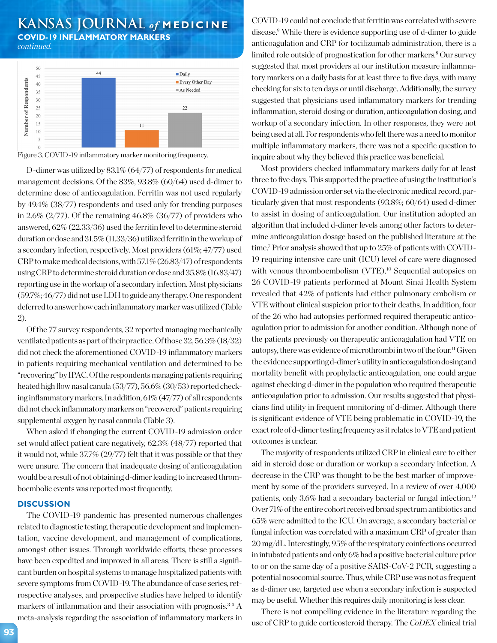# **KANSAS JOURNAL** *of* **MEDICINE COVID-19 INFLAMMATORY MARKERS**

*continued.*



Figure 3. COVID-19 inflammatory marker monitoring frequency.

D-dimer was utilized by 83.1% (64/77) of respondents for medical management decisions. Of the 83%, 93.8% (60/64) used d-dimer to determine dose of anticoagulation. Ferritin was not used regularly by 49.4% (38/77) respondents and used only for trending purposes in 2.6%  $(2/77)$ . Of the remaining 46.8%  $(36/77)$  of providers who answered, 62% (22.33/36) used the ferritin level to determine steroid duration or dose and 31.5% (11.33/36) utilized ferritin in the workup of a secondary infection, respectively. Most providers (61%; 47/77) used CRP to make medical decisions, with 57.1% (26.83/47) of respondents using CRP to determine steroid duration or dose and 35.8% (16.83/47) reporting use in the workup of a secondary infection. Most physicians (59.7%; 46/77) did not use LDH to guide any therapy. One respondent deferred to answer how each inflammatory marker was utilized (Table 2).

Of the 77 survey respondents, 32 reported managing mechanically ventilated patients as part of their practice. Of those 32, 56.3% (18/32) did not check the aforementioned COVID-19 inflammatory markers in patients requiring mechanical ventilation and determined to be "recovering" by IPAC. Of the respondents managing patients requiring heated high flow nasal canula (53/77), 56.6% (30/53) reported checking inflammatory markers. In addition, 61% (47/77) of all respondents did not check inflammatory markers on "recovered" patients requiring supplemental oxygen by nasal cannula (Table 3).

When asked if changing the current COVID-19 admission order set would affect patient care negatively, 62.3% (48/77) reported that it would not, while 37.7% (29/77) felt that it was possible or that they were unsure. The concern that inadequate dosing of anticoagulation would be a result of not obtaining d-dimer leading to increased thromboembolic events was reported most frequently.

### **DISCUSSION**

The COVID-19 pandemic has presented numerous challenges related to diagnostic testing, therapeutic development and implementation, vaccine development, and management of complications, amongst other issues. Through worldwide efforts, these processes have been expedited and improved in all areas. There is still a significant burden on hospital systems to manage hospitalized patients with severe symptoms from COVID-19. The abundance of case series, retrospective analyses, and prospective studies have helped to identify markers of inflammation and their association with prognosis.<sup>3-5</sup> A meta-analysis regarding the association of inflammatory markers in

COVID-19 could not conclude that ferritin was correlated with severe disease.9 While there is evidence supporting use of d-dimer to guide anticoagulation and CRP for tocilizumab administration, there is a limited role outside of prognostication for other markers.<sup>8</sup> Our survey suggested that most providers at our institution measure inflammatory markers on a daily basis for at least three to five days, with many checking for six to ten days or until discharge. Additionally, the survey suggested that physicians used inflammatory markers for trending inflammation, steroid dosing or duration, anticoagulation dosing, and workup of a secondary infection. In other responses, they were not being used at all. For respondents who felt there was a need to monitor multiple inflammatory markers, there was not a specific question to inquire about why they believed this practice was beneficial.

Most providers checked inflammatory markers daily for at least three to five days. This supported the practice of using the institution's COVID-19 admission order set via the electronic medical record, particularly given that most respondents (93.8%; 60/64) used d-dimer to assist in dosing of anticoagulation. Our institution adopted an algorithm that included d-dimer levels among other factors to determine anticoagulation dosage based on the published literature at the time.7 Prior analysis showed that up to 25% of patients with COVID-19 requiring intensive care unit (ICU) level of care were diagnosed with venous thromboembolism (VTE).<sup>10</sup> Sequential autopsies on 26 COVID-19 patients performed at Mount Sinai Health System revealed that 42% of patients had either pulmonary embolism or VTE without clinical suspicion prior to their deaths. In addition, four of the 26 who had autopsies performed required therapeutic anticoagulation prior to admission for another condition. Although none of the patients previously on therapeutic anticoagulation had VTE on autopsy, there was evidence of microthrombi in two of the four.11 Given the evidence supporting d-dimer's utility in anticoagulation dosing and mortality benefit with prophylactic anticoagulation, one could argue against checking d-dimer in the population who required therapeutic anticoagulation prior to admission. Our results suggested that physicians find utility in frequent monitoring of d-dimer. Although there is significant evidence of VTE being problematic in COVID-19, the exact role of d-dimer testing frequency as it relates to VTE and patient outcomes is unclear.

The majority of respondents utilized CRP in clinical care to either aid in steroid dose or duration or workup a secondary infection. A decrease in the CRP was thought to be the best marker of improvement by some of the providers surveyed. In a review of over 4,000 patients, only 3.6% had a secondary bacterial or fungal infection.12 Over 71% of the entire cohort received broad spectrum antibiotics and 65% were admitted to the ICU. On average, a secondary bacterial or fungal infection was correlated with a maximum CRP of greater than 20 mg/dL. Interestingly, 95% of the respiratory coinfections occurred in intubated patients and only 6% had a positive bacterial culture prior to or on the same day of a positive SARS-CoV-2 PCR, suggesting a potential nosocomial source. Thus, while CRP use was not as frequent as d-dimer use, targeted use when a secondary infection is suspected may be useful. Whether this requires daily monitoring is less clear.

There is not compelling evidence in the literature regarding the use of CRP to guide corticosteroid therapy. The *CoDEX* clinical trial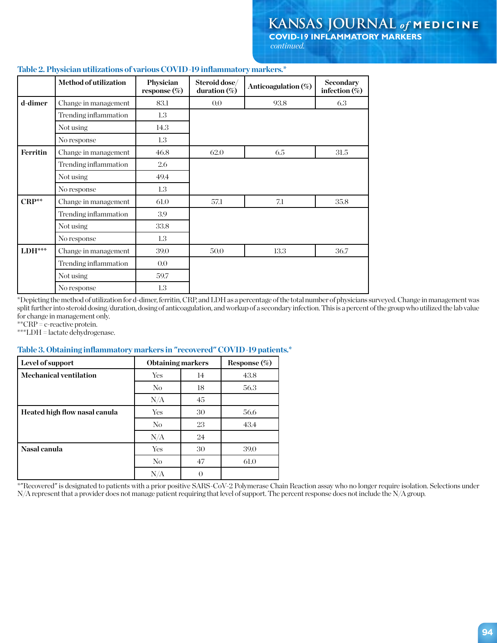**COVID-19 INFLAMMATORY MARKERS** *continued.*

|          | <b>Method of utilization</b> | Physician<br>response $(\%)$ | Steroid dose/<br>duration (%) | Anticoagulation (%) | <b>Secondary</b><br>infection $(\%)$ |
|----------|------------------------------|------------------------------|-------------------------------|---------------------|--------------------------------------|
| d-dimer  | Change in management         | 83.1                         | 0.0                           | 93.8                | 6.3                                  |
|          | Trending inflammation        | 1.3                          |                               |                     |                                      |
|          | Not using                    | 14.3                         |                               |                     |                                      |
|          | No response                  | 1.3                          |                               |                     |                                      |
| Ferritin | Change in management         | 46.8                         | 62.0                          | 6.5                 | 31.5                                 |
|          | Trending inflammation        | 2.6                          |                               |                     |                                      |
|          | Not using                    | 49.4                         |                               |                     |                                      |
|          | No response                  | 1.3                          |                               |                     |                                      |
| CRP**    | Change in management         | 61.0                         | 57.1                          | 7.1                 | 35.8                                 |
|          | Trending inflammation        | 3.9                          |                               |                     |                                      |
|          | Not using                    | 33.8                         |                               |                     |                                      |
|          | No response                  | 1.3                          |                               |                     |                                      |
| $LDH***$ | Change in management         | 39.0                         | 50.0                          | 13.3                | 36.7                                 |
|          | Trending inflammation        | $0.0\,$                      |                               |                     |                                      |
|          | Not using                    | 59.7                         |                               |                     |                                      |
|          | No response                  | 1.3                          |                               |                     |                                      |

# **Table 2. Physician utilizations of various COVID-19 inflammatory markers.\***

\*Depicting the method of utilization for d-dimer, ferritin, CRP, and LDH as a percentage of the total number of physicians surveyed. Change in management was split further into steroid dosing/duration, dosing of anticoagulation, and workup of a secondary infection. This is a percent of the group who utilized the lab value for change in management only.

\*\*CRP = c-reactive protein.

\*\*\*LDH = lactate dehydrogenase.

# **Table 3. Obtaining inflammatory markers in "recovered" COVID-19 patients.\***

| Level of support              | <b>Obtaining markers</b> |    | Response (%) |
|-------------------------------|--------------------------|----|--------------|
| <b>Mechanical ventilation</b> | Yes                      | 14 | 43.8         |
|                               | N <sub>o</sub>           | 18 | 56.3         |
|                               | $\rm N/A$                | 45 |              |
| Heated high flow nasal canula | Yes                      | 30 | 56.6         |
|                               | N <sub>o</sub>           | 23 | 43.4         |
|                               | N/A                      | 24 |              |
| Nasal canula                  | Yes                      | 30 | 39.0         |
|                               | No.                      | 47 | 61.0         |
|                               | N/A                      | 0  |              |

\*"Recovered" is designated to patients with a prior positive SARS-CoV-2 Polymerase Chain Reaction assay who no longer require isolation. Selections under N/A represent that a provider does not manage patient requiring that level of support. The percent response does not include the N/A group.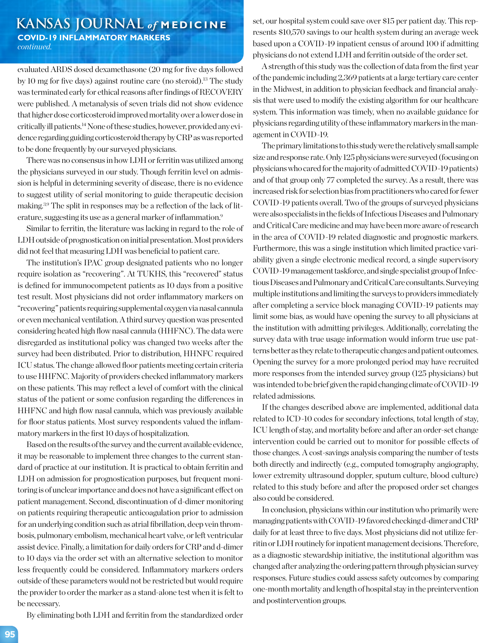# **KANSAS JOURNAL** *of* **MEDICINE COVID-19 INFLAMMATORY MARKERS** *continued.*

evaluated ARDS dosed dexamethasone (20 mg for five days followed by 10 mg for five days) against routine care (no steroid).<sup>13</sup> The study was terminated early for ethical reasons after findings of RECOVERY were published. A metanalysis of seven trials did not show evidence that higher dose corticosteroid improved mortality over a lower dose in critically ill patients.14 None of these studies, however, provided any evidence regarding guiding corticosteroid therapy by CRP as was reported to be done frequently by our surveyed physicians.

There was no consensus in how LDH or ferritin was utilized among the physicians surveyed in our study. Though ferritin level on admission is helpful in determining severity of disease, there is no evidence to suggest utility of serial monitoring to guide therapeutic decision making.3,9 The split in responses may be a reflection of the lack of literature, suggesting its use as a general marker of inflammation.9

Similar to ferritin, the literature was lacking in regard to the role of LDH outside of prognostication on initial presentation. Most providers did not feel that measuring LDH was beneficial to patient care.

The institution's IPAC group designated patients who no longer require isolation as "recovering". At TUKHS, this "recovered" status is defined for immunocompetent patients as 10 days from a positive test result. Most physicians did not order inflammatory markers on "recovering" patients requiring supplemental oxygen via nasal cannula or even mechanical ventilation. A third survey question was presented considering heated high flow nasal cannula (HHFNC). The data were disregarded as institutional policy was changed two weeks after the survey had been distributed. Prior to distribution, HHNFC required ICU status. The change allowed floor patients meeting certain criteria to use HHFNC. Majority of providers checked inflammatory markers on these patients. This may reflect a level of comfort with the clinical status of the patient or some confusion regarding the differences in HHFNC and high flow nasal cannula, which was previously available for floor status patients. Most survey respondents valued the inflammatory markers in the first 10 days of hospitalization.

Based on the results of the survey and the current available evidence, it may be reasonable to implement three changes to the current standard of practice at our institution. It is practical to obtain ferritin and LDH on admission for prognostication purposes, but frequent monitoring is of unclear importance and does not have a significant effect on patient management. Second, discontinuation of d-dimer monitoring on patients requiring therapeutic anticoagulation prior to admission for an underlying condition such as atrial fibrillation, deep vein thrombosis, pulmonary embolism, mechanical heart valve, or left ventricular assist device. Finally, a limitation for daily orders for CRP and d-dimer to 10 days via the order set with an alternative selection to monitor less frequently could be considered. Inflammatory markers orders outside of these parameters would not be restricted but would require the provider to order the marker as a stand-alone test when it is felt to be necessary.

By eliminating both LDH and ferritin from the standardized order

set, our hospital system could save over \$15 per patient day. This represents \$10,570 savings to our health system during an average week based upon a COVID-19 inpatient census of around 100 if admitting physicians do not extend LDH and ferritin outside of the order set.

A strength of this study was the collection of data from the first year of the pandemic including 2,369 patients at a large tertiary care center in the Midwest, in addition to physician feedback and financial analysis that were used to modify the existing algorithm for our healthcare system. This information was timely, when no available guidance for physicians regarding utility of these inflammatory markers in the management in COVID-19.

The primary limitations to this study were the relatively small sample size and response rate. Only 125 physicians were surveyed (focusing on physicians who cared for the majority of admitted COVID-19 patients) and of that group only 77 completed the survey. As a result, there was increased risk for selection bias from practitioners who cared for fewer COVID-19 patients overall. Two of the groups of surveyed physicians were also specialists in the fields of Infectious Diseases and Pulmonary and Critical Care medicine and may have been more aware of research in the area of COVID-19 related diagnostic and prognostic markers. Furthermore, this was a single institution which limited practice variability given a single electronic medical record, a single supervisory COVID-19 management taskforce, and single specialist group of Infectious Diseases and Pulmonary and Critical Care consultants. Surveying multiple institutions and limiting the surveys to providers immediately after completing a service block managing COVID-19 patients may limit some bias, as would have opening the survey to all physicians at the institution with admitting privileges. Additionally, correlating the survey data with true usage information would inform true use patterns better as they relate to therapeutic changes and patient outcomes. Opening the survey for a more prolonged period may have recruited more responses from the intended survey group (125 physicians) but was intended to be brief given the rapid changing climate of COVID-19 related admissions.

If the changes described above are implemented, additional data related to ICD-10 codes for secondary infections, total length of stay, ICU length of stay, and mortality before and after an order-set change intervention could be carried out to monitor for possible effects of those changes. A cost-savings analysis comparing the number of tests both directly and indirectly (e.g., computed tomography angiography, lower extremity ultrasound doppler, sputum culture, blood culture) related to this study before and after the proposed order set changes also could be considered.

In conclusion, physicians within our institution who primarily were managing patients with COVID-19 favored checking d-dimer and CRP daily for at least three to five days. Most physicians did not utilize ferritin or LDH routinely for inpatient management decisions. Therefore, as a diagnostic stewardship initiative, the institutional algorithm was changed after analyzing the ordering pattern through physician survey responses. Future studies could assess safety outcomes by comparing one-month mortality and length of hospital stay in the preintervention and postintervention groups.